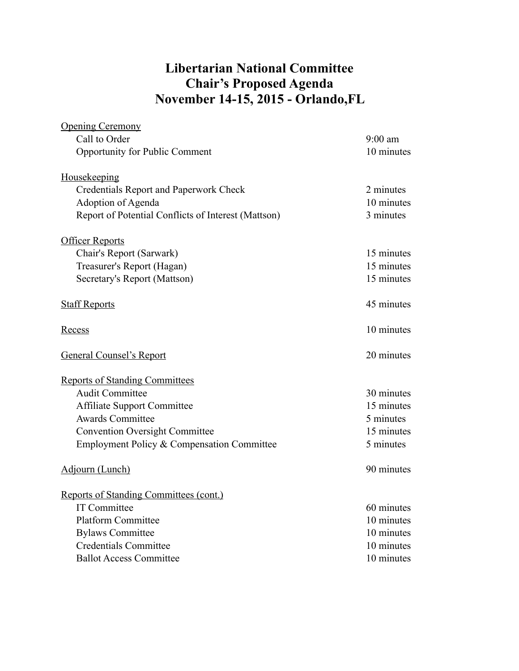## **Libertarian National Committee Chair's Proposed Agenda November 14-15, 2015 - Orlando,FL**

| <b>Opening Ceremony</b>                             |            |
|-----------------------------------------------------|------------|
| Call to Order                                       | $9:00$ am  |
| <b>Opportunity for Public Comment</b>               | 10 minutes |
| Housekeeping                                        |            |
| Credentials Report and Paperwork Check              | 2 minutes  |
| Adoption of Agenda                                  | 10 minutes |
| Report of Potential Conflicts of Interest (Mattson) | 3 minutes  |
| <b>Officer Reports</b>                              |            |
| Chair's Report (Sarwark)                            | 15 minutes |
| Treasurer's Report (Hagan)                          | 15 minutes |
| Secretary's Report (Mattson)                        | 15 minutes |
| <b>Staff Reports</b>                                | 45 minutes |
| Recess                                              | 10 minutes |
|                                                     |            |
| <b>General Counsel's Report</b>                     | 20 minutes |
| <b>Reports of Standing Committees</b>               |            |
| <b>Audit Committee</b>                              | 30 minutes |
| <b>Affiliate Support Committee</b>                  | 15 minutes |
| <b>Awards Committee</b>                             | 5 minutes  |
| <b>Convention Oversight Committee</b>               | 15 minutes |
| Employment Policy & Compensation Committee          | 5 minutes  |
| Adjourn (Lunch)                                     | 90 minutes |
| <b>Reports of Standing Committees (cont.)</b>       |            |
| <b>IT Committee</b>                                 | 60 minutes |
| <b>Platform Committee</b>                           | 10 minutes |
| <b>Bylaws Committee</b>                             | 10 minutes |
| <b>Credentials Committee</b>                        | 10 minutes |